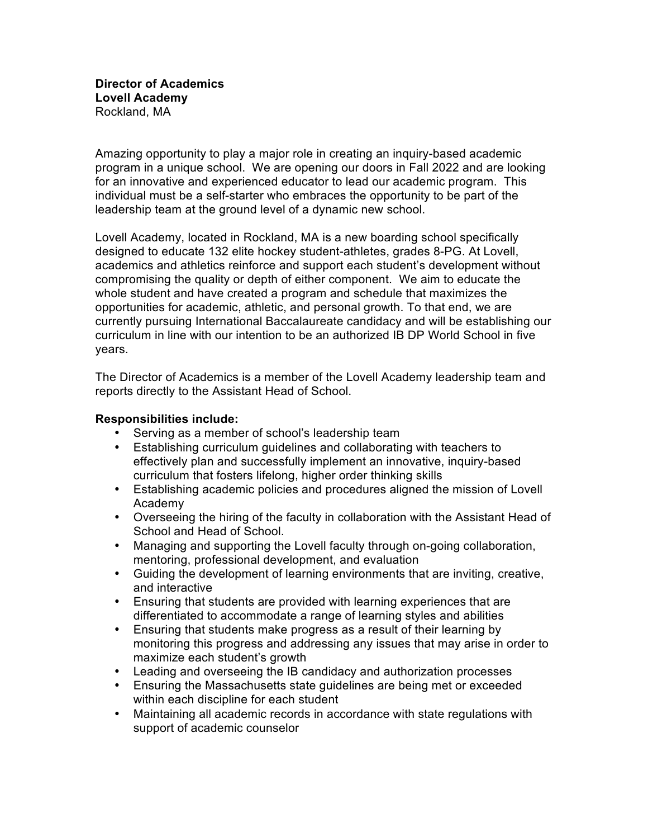Amazing opportunity to play a major role in creating an inquiry-based academic program in a unique school. We are opening our doors in Fall 2022 and are looking for an innovative and experienced educator to lead our academic program. This individual must be a self-starter who embraces the opportunity to be part of the leadership team at the ground level of a dynamic new school.

Lovell Academy, located in Rockland, MA is a new boarding school specifically designed to educate 132 elite hockey student-athletes, grades 8-PG. At Lovell, academics and athletics reinforce and support each student's development without compromising the quality or depth of either component. We aim to educate the whole student and have created a program and schedule that maximizes the opportunities for academic, athletic, and personal growth. To that end, we are currently pursuing International Baccalaureate candidacy and will be establishing our curriculum in line with our intention to be an authorized IB DP World School in five years.

The Director of Academics is a member of the Lovell Academy leadership team and reports directly to the Assistant Head of School.

## **Responsibilities include:**

- Serving as a member of school's leadership team
- Establishing curriculum guidelines and collaborating with teachers to effectively plan and successfully implement an innovative, inquiry-based curriculum that fosters lifelong, higher order thinking skills
- Establishing academic policies and procedures aligned the mission of Lovell Academy
- Overseeing the hiring of the faculty in collaboration with the Assistant Head of School and Head of School.
- Managing and supporting the Lovell faculty through on-going collaboration, mentoring, professional development, and evaluation
- Guiding the development of learning environments that are inviting, creative, and interactive
- Ensuring that students are provided with learning experiences that are differentiated to accommodate a range of learning styles and abilities
- Ensuring that students make progress as a result of their learning by monitoring this progress and addressing any issues that may arise in order to maximize each student's growth
- Leading and overseeing the IB candidacy and authorization processes
- Ensuring the Massachusetts state guidelines are being met or exceeded within each discipline for each student
- Maintaining all academic records in accordance with state regulations with support of academic counselor